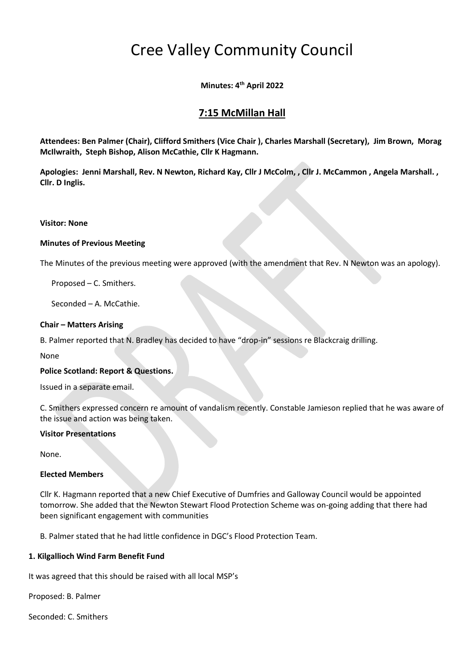# Cree Valley Community Council

**Minutes: 4 th April 2022**

# **7:15 McMillan Hall**

**Attendees: Ben Palmer (Chair), Clifford Smithers (Vice Chair ), Charles Marshall (Secretary), Jim Brown, Morag McIlwraith, Steph Bishop, Alison McCathie, Cllr K Hagmann.**

**Apologies: Jenni Marshall, Rev. N Newton, Richard Kay, Cllr J McColm, , Cllr J. McCammon , Angela Marshall. , Cllr. D Inglis.**

#### **Visitor: None**

#### **Minutes of Previous Meeting**

The Minutes of the previous meeting were approved (with the amendment that Rev. N Newton was an apology).

Proposed – C. Smithers.

Seconded – A. McCathie.

#### **Chair – Matters Arising**

B. Palmer reported that N. Bradley has decided to have "drop-in" sessions re Blackcraig drilling.

None

#### **Police Scotland: Report & Questions.**

Issued in a separate email.

C. Smithers expressed concern re amount of vandalism recently. Constable Jamieson replied that he was aware of the issue and action was being taken.

#### **Visitor Presentations**

None.

#### **Elected Members**

Cllr K. Hagmann reported that a new Chief Executive of Dumfries and Galloway Council would be appointed tomorrow. She added that the Newton Stewart Flood Protection Scheme was on-going adding that there had been significant engagement with communities

B. Palmer stated that he had little confidence in DGC's Flood Protection Team.

#### **1. Kilgallioch Wind Farm Benefit Fund**

It was agreed that this should be raised with all local MSP's

Proposed: B. Palmer

Seconded: C. Smithers